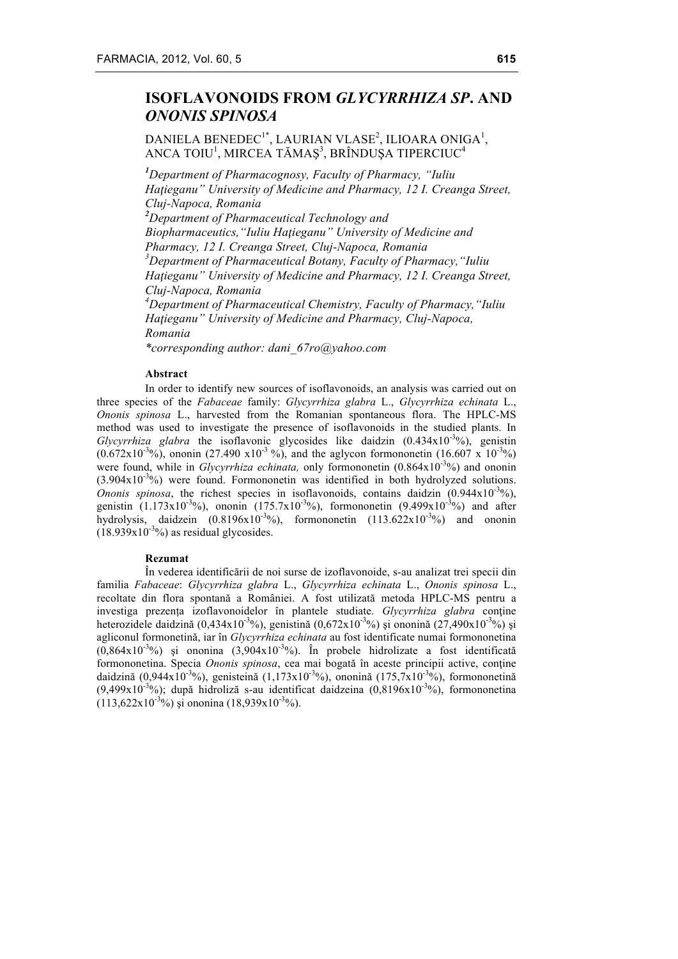# **ISOFLAVONOIDS FROM** *GLYCYRRHIZA SP***. AND**  *ONONIS SPINOSA*

## DANIELA BENEDEC<sup>1\*</sup>, LAURIAN VLASE<sup>2</sup>, ILIOARA ONIGA<sup>1</sup>, ANCA TOIU $^{\rm l}$ , MIRCEA TĂMAȘ $^{\rm 3}$ , BRÎNDUȘA TIPERCIUC $^{\rm 4}$

*1 Department of Pharmacognosy, Faculty of Pharmacy, "Iuliu Haţieganu" University of Medicine and Pharmacy, 12 I. Creanga Street, Cluj-Napoca, Romania 2 Department of Pharmaceutical Technology and Biopharmaceutics,"Iuliu Haţieganu" University of Medicine and Pharmacy, 12 I. Creanga Street, Cluj-Napoca, Romania 3 Department of Pharmaceutical Botany, Faculty of Pharmacy,"Iuliu Haţieganu" University of Medicine and Pharmacy, 12 I. Creanga Street, Cluj-Napoca, Romania 4 Department of Pharmaceutical Chemistry, Faculty of Pharmacy,"Iuliu Haţieganu" University of Medicine and Pharmacy, Cluj-Napoca, Romania*

*\*corresponding author: dani\_67ro@yahoo.com*

#### **Abstract**

In order to identify new sources of isoflavonoids, an analysis was carried out on three species of the *Fabaceae* family: *Glycyrrhiza glabra* L., *Glycyrrhiza echinata* L., *Ononis spinosa* L., harvested from the Romanian spontaneous flora. The HPLC-MS method was used to investigate the presence of isoflavonoids in the studied plants. In  $Glycyrthiza$  glabra the isoflavonic glycosides like daidzin  $(0.434 \times 10^{-3}\%)$ , genistin  $(0.672 \times 10^{-3} \%)$ , ononin (27.490 x10<sup>-3</sup>%), and the aglycon formononetin (16.607 x 10<sup>-3</sup>%) were found, while in *Glycyrrhiza echinata*, only formononetin (0.864x10<sup>-3</sup>%) and ononin  $(3.904 \times 10^{-3}\%)$  were found. Formononetin was identified in both hydrolyzed solutions. *Ononis spinosa*, the richest species in isoflavonoids, contains daidzin  $(0.944 \times 10^{-3}\%)$ , genistin (1.173x10<sup>-3</sup>%), ononin (175.7x10<sup>-3</sup>%), formononetin (9.499x10<sup>-3</sup>%) and after hydrolysis, daidzein  $(0.8196x10^{-3}\%)$ , formononetin  $(113.622x10^{-3}\%)$  and ononin  $(18.939x10^{-3}\%)$  as residual glycosides.

#### **Rezumat**

În vederea identificării de noi surse de izoflavonoide, s-au analizat trei specii din familia *Fabaceae*: *Glycyrrhiza glabra* L., *Glycyrrhiza echinata* L., *Ononis spinosa* L., recoltate din flora spontană a României. A fost utilizată metoda HPLC-MS pentru a investiga prezența izoflavonoidelor în plantele studiate. *Glycyrrhiza glabra* conține heterozidele daidzină (0,434x10<sup>-3</sup>%), genistină (0,672x10<sup>-3</sup>%) și ononină (27,490x10<sup>-3</sup>%) și agliconul formonetină, iar în *Glycyrrhiza echinata* au fost identificate numai formononetina  $(0.864 \times 10^{-3})$ %) și ononina  $(3.904 \times 10^{-3})$ %). În probele hidrolizate a fost identificată formononetina. Specia *Ononis spinosa*, cea mai bogată în aceste principii active, conţine daidzină (0,944x10<sup>-3</sup>%), genisteină (1,173x10<sup>-3</sup>%), ononină (175,7x10<sup>-3</sup>%), formononetină  $(9,499x10^{-3}\%)$ ; după hidroliză s-au identificat daidzeina  $(0,8196x10^{-3}\%)$ , formononetina  $(113,622 \times 10^{-3} \%)$  și ononina  $(18,939 \times 10^{-3} \%)$ .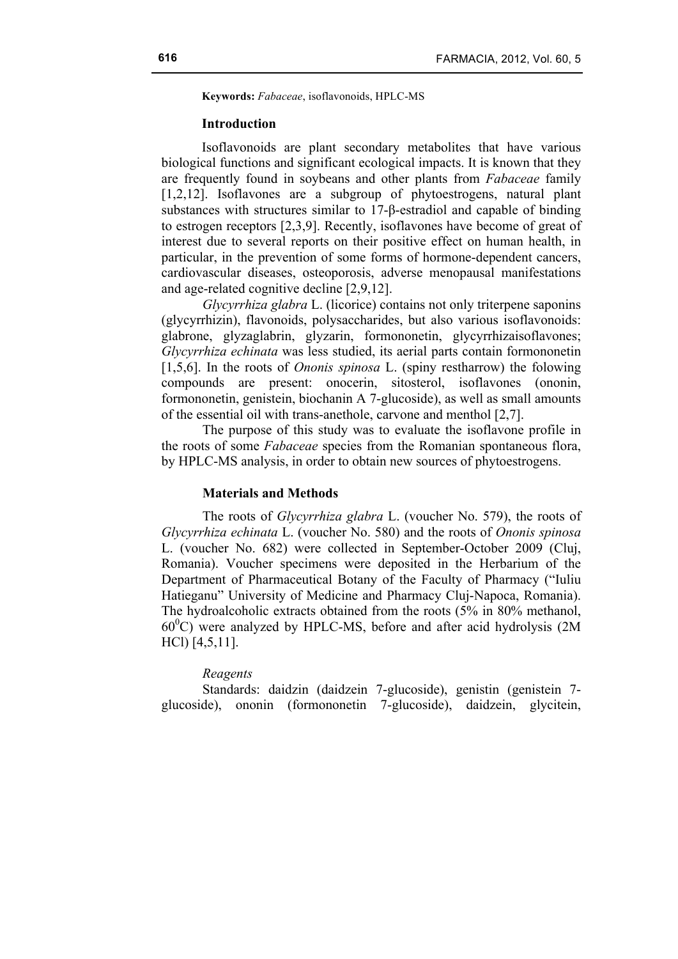**Keywords:** *Fabaceae*, isoflavonoids, HPLC-MS

## **Introduction**

Isoflavonoids are plant secondary metabolites that have various biological functions and significant ecological impacts. It is known that they are frequently found in soybeans and other plants from *Fabaceae* family [1,2,12]. Isoflavones are a subgroup of phytoestrogens, natural plant substances with structures similar to 17-β-estradiol and capable of binding to estrogen receptors [2,3,9]. Recently, isoflavones have become of great of interest due to several reports on their positive effect on human health, in particular, in the prevention of some forms of hormone-dependent cancers, cardiovascular diseases, osteoporosis, adverse menopausal manifestations and age-related cognitive decline [2,9,12].

*Glycyrrhiza glabra* L. (licorice) contains not only triterpene saponins (glycyrrhizin), flavonoids, polysaccharides, but also various isoflavonoids: glabrone, glyzaglabrin, glyzarin, formononetin, glycyrrhizaisoflavones; *Glycyrrhiza echinata* was less studied, its aerial parts contain formononetin [1,5,6]. In the roots of *Ononis spinosa* L. (spiny restharrow) the folowing compounds are present: onocerin, sitosterol, isoflavones (ononin, formononetin, genistein, biochanin A 7-glucoside), as well as small amounts of the essential oil with trans-anethole, carvone and menthol [2,7].

The purpose of this study was to evaluate the isoflavone profile in the roots of some *Fabaceae* species from the Romanian spontaneous flora, by HPLC-MS analysis, in order to obtain new sources of phytoestrogens.

### **Materials and Methods**

The roots of *Glycyrrhiza glabra* L. (voucher No. 579), the roots of *Glycyrrhiza echinata* L. (voucher No. 580) and the roots of *Ononis spinosa* L. (voucher No. 682) were collected in September-October 2009 (Cluj, Romania). Voucher specimens were deposited in the Herbarium of the Department of Pharmaceutical Botany of the Faculty of Pharmacy ("Iuliu Hatieganu" University of Medicine and Pharmacy Cluj-Napoca, Romania). The hydroalcoholic extracts obtained from the roots (5% in 80% methanol,  $60^{\circ}$ C) were analyzed by HPLC-MS, before and after acid hydrolysis (2M HCl) [4,5,11].

#### *Reagents*

Standards: daidzin (daidzein 7-glucoside), genistin (genistein 7 glucoside), ononin (formononetin 7-glucoside), daidzein, glycitein,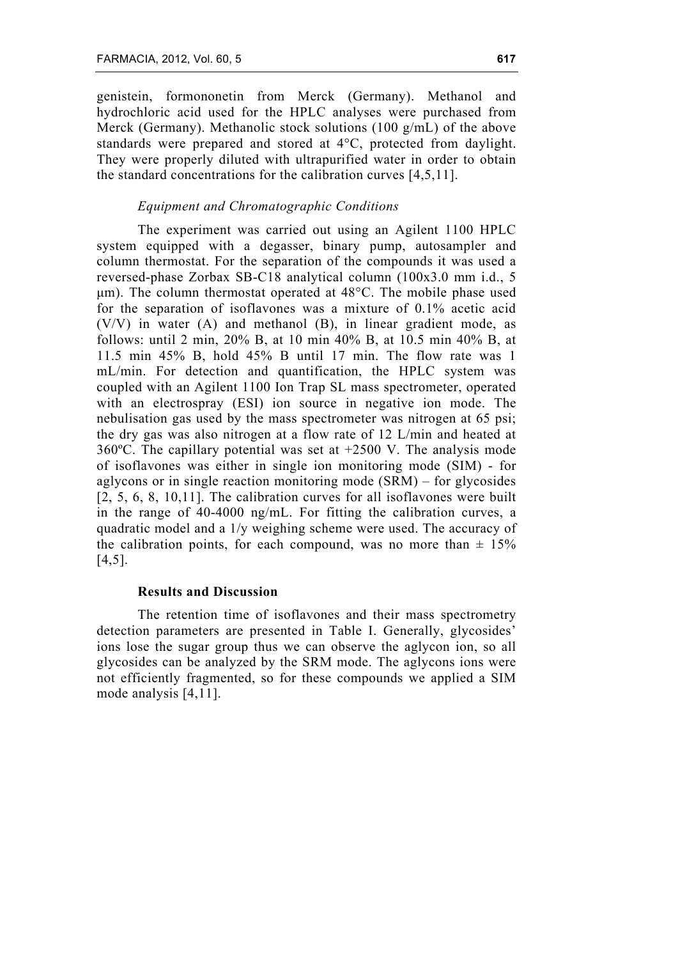genistein, formononetin from Merck (Germany). Methanol and hydrochloric acid used for the HPLC analyses were purchased from Merck (Germany). Methanolic stock solutions (100 g/mL) of the above standards were prepared and stored at 4°C, protected from daylight. They were properly diluted with ultrapurified water in order to obtain the standard concentrations for the calibration curves [4,5,11].

## *Equipment and Chromatographic Conditions*

The experiment was carried out using an Agilent 1100 HPLC system equipped with a degasser, binary pump, autosampler and column thermostat. For the separation of the compounds it was used a reversed-phase Zorbax SB-C18 analytical column (100x3.0 mm i.d., 5 µm). The column thermostat operated at 48°C. The mobile phase used for the separation of isoflavones was a mixture of 0.1% acetic acid (V/V) in water (A) and methanol (B), in linear gradient mode, as follows: until 2 min, 20% B, at 10 min 40% B, at 10.5 min 40% B, at 11.5 min 45% B, hold 45% B until 17 min. The flow rate was 1 mL/min. For detection and quantification, the HPLC system was coupled with an Agilent 1100 Ion Trap SL mass spectrometer, operated with an electrospray (ESI) ion source in negative ion mode. The nebulisation gas used by the mass spectrometer was nitrogen at 65 psi; the dry gas was also nitrogen at a flow rate of 12 L/min and heated at 360ºC. The capillary potential was set at +2500 V. The analysis mode of isoflavones was either in single ion monitoring mode (SIM) - for aglycons or in single reaction monitoring mode (SRM) – for glycosides [2, 5, 6, 8, 10,11]. The calibration curves for all isoflavones were built in the range of 40-4000 ng/mL. For fitting the calibration curves, a quadratic model and a 1/y weighing scheme were used. The accuracy of the calibration points, for each compound, was no more than  $\pm$  15% [4,5].

## **Results and Discussion**

The retention time of isoflavones and their mass spectrometry detection parameters are presented in Table I. Generally, glycosides' ions lose the sugar group thus we can observe the aglycon ion, so all glycosides can be analyzed by the SRM mode. The aglycons ions were not efficiently fragmented, so for these compounds we applied a SIM mode analysis [4,11].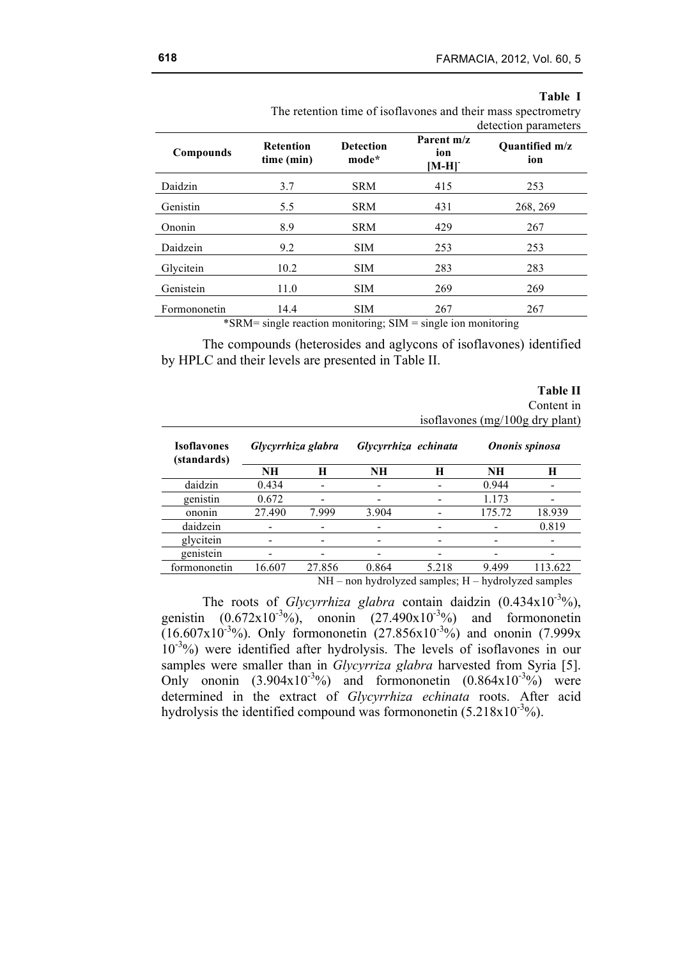| able |  |
|------|--|
|------|--|

|                                                                              |                                |                           |                              | $arccan$ parameters          |  |  |  |  |
|------------------------------------------------------------------------------|--------------------------------|---------------------------|------------------------------|------------------------------|--|--|--|--|
| Compounds                                                                    | <b>Retention</b><br>time (min) | <b>Detection</b><br>mode* | Parent m/z<br>ion<br>$[M-H]$ | <b>Ouantified m/z</b><br>ion |  |  |  |  |
| Daidzin                                                                      | 3.7                            | <b>SRM</b>                | 415                          | 253                          |  |  |  |  |
| Genistin                                                                     | 5.5                            | <b>SRM</b>                | 431                          | 268, 269                     |  |  |  |  |
| Ononin                                                                       | 8.9                            | <b>SRM</b>                | 429                          | 267                          |  |  |  |  |
| Daidzein                                                                     | 9.2                            | <b>SIM</b>                | 253                          | 253                          |  |  |  |  |
| Glycitein                                                                    | 10.2                           | <b>SIM</b>                | 283                          | 283                          |  |  |  |  |
| Genistein                                                                    | 11.0                           | <b>SIM</b>                | 269                          | 269                          |  |  |  |  |
| Formononetin                                                                 | 14.4                           | <b>SIM</b>                | 267                          | 267                          |  |  |  |  |
| $*SPM = \sin \theta$ reaction monitoring: $SIM = \sin \theta$ ion monitoring |                                |                           |                              |                              |  |  |  |  |

 The retention time of isoflavones and their mass spectrometry detection parameters

\*SRM= single reaction monitoring; SIM = single ion monitoring

The compounds (heterosides and aglycons of isoflavones) identified by HPLC and their levels are presented in Table II.

|                                   |                                            |        |                           |                |           | <b>Table II</b><br>Content in<br>isoflavones (mg/100g dry plant) |
|-----------------------------------|--------------------------------------------|--------|---------------------------|----------------|-----------|------------------------------------------------------------------|
| <b>Isoflavones</b><br>(standards) | Glycyrrhiza glabra<br>Glycyrrhiza echinata |        |                           | Ononis spinosa |           |                                                                  |
|                                   | NH                                         | H      | <b>NH</b>                 | н              | <b>NH</b> | H                                                                |
| daidzin                           | 0.434                                      |        |                           |                | 0.944     |                                                                  |
| genistin                          | 0.672                                      |        |                           |                | 1.173     |                                                                  |
| ononin                            | 27.490                                     | 7.999  | 3.904                     |                | 175.72    | 18.939                                                           |
| daidzein                          |                                            |        |                           |                |           | 0.819                                                            |
| glycitein                         |                                            |        |                           |                |           |                                                                  |
| genistein                         |                                            |        |                           |                |           |                                                                  |
| formononetin                      | 16.607                                     | 27.856 | 0.864                     | 5.218          | 9.499     | 113.622                                                          |
|                                   |                                            | NН     | non hydrolyzed camples: H |                |           | hydrolyzed camples                                               |

NH – non hydrolyzed samples; H – hydrolyzed samples

The roots of *Glycyrrhiza glabra* contain daidzin  $(0.434 \times 10^{-3}\%)$ , genistin  $(0.672 \times 10^{-3}\%)$ , ononin  $(27.490 \times 10^{-3}\%)$  and formononetin  $(16.607 \times 10^{-3} \%)$ . Only formononetin  $(27.856 \times 10^{-3} \%)$  and ononin  $(7.999 \times$ 10-3 %) were identified after hydrolysis. The levels of isoflavones in our samples were smaller than in *Glycyrriza glabra* harvested from Syria [5]. Only ononin  $(3.904 \times 10^{-3}\%)$  and formononetin  $(0.864 \times 10^{-3}\%)$  were determined in the extract of *Glycyrrhiza echinata* roots. After acid hydrolysis the identified compound was formononetin  $(5.218 \times 10^{-3} \%)$ .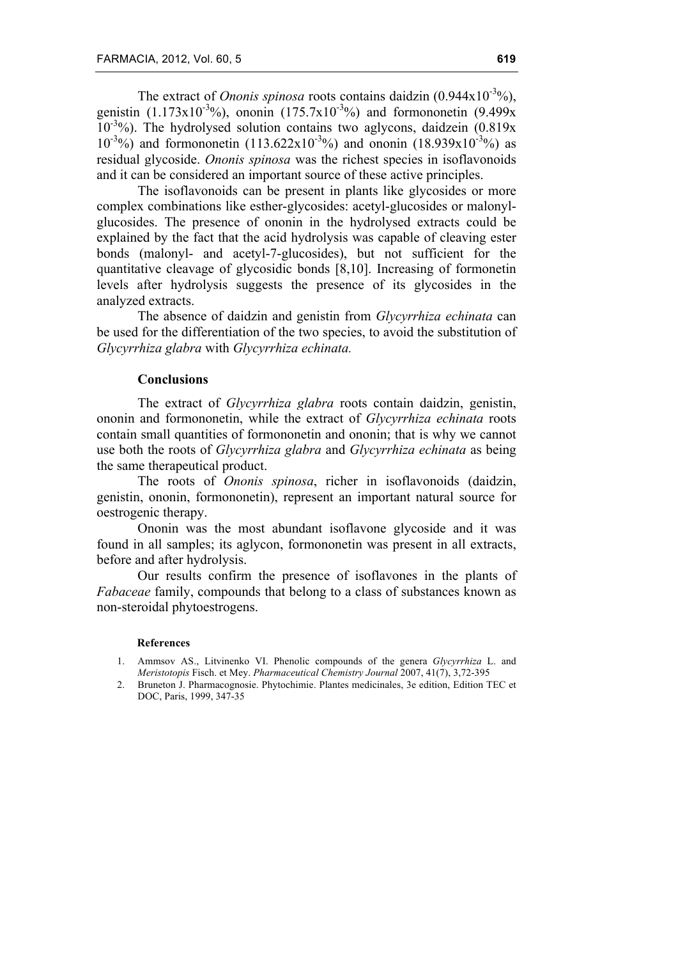The extract of *Ononis spinosa* roots contains daidzin  $(0.944 \times 10^{-3}\%)$ , genistin (1.173x10<sup>-3</sup>%), ononin (175.7x10<sup>-3</sup>%) and formononetin (9.499x 10<sup>-3</sup>%). The hydrolysed solution contains two aglycons, daidzein (0.819x  $10^{-3}$ %) and formononetin (113.622x10<sup>-3</sup>%) and ononin (18.939x10<sup>-3</sup>%) as residual glycoside. *Ononis spinosa* was the richest species in isoflavonoids and it can be considered an important source of these active principles.

The isoflavonoids can be present in plants like glycosides or more complex combinations like esther-glycosides: acetyl-glucosides or malonylglucosides. The presence of ononin in the hydrolysed extracts could be explained by the fact that the acid hydrolysis was capable of cleaving ester bonds (malonyl- and acetyl-7-glucosides), but not sufficient for the quantitative cleavage of glycosidic bonds [8,10]. Increasing of formonetin levels after hydrolysis suggests the presence of its glycosides in the analyzed extracts.

The absence of daidzin and genistin from *Glycyrrhiza echinata* can be used for the differentiation of the two species, to avoid the substitution of *Glycyrrhiza glabra* with *Glycyrrhiza echinata.*

## **Conclusions**

The extract of *Glycyrrhiza glabra* roots contain daidzin, genistin, ononin and formononetin, while the extract of *Glycyrrhiza echinata* roots contain small quantities of formononetin and ononin; that is why we cannot use both the roots of *Glycyrrhiza glabra* and *Glycyrrhiza echinata* as being the same therapeutical product.

The roots of *Ononis spinosa*, richer in isoflavonoids (daidzin, genistin, ononin, formononetin), represent an important natural source for oestrogenic therapy.

Ononin was the most abundant isoflavone glycoside and it was found in all samples; its aglycon, formononetin was present in all extracts, before and after hydrolysis.

Our results confirm the presence of isoflavones in the plants of *Fabaceae* family, compounds that belong to a class of substances known as non-steroidal phytoestrogens.

#### **References**

- 1. Ammsov AS., Litvinenko VI. Phenolic compounds of the genera *Glycyrrhiza* L. and *Meristotopis* Fisch. et Mey. *Pharmaceutical Chemistry Journal* 2007, 41(7), 3,72-395
- 2. Bruneton J. Pharmacognosie. Phytochimie. Plantes medicinales, 3e edition, Edition TEC et DOC, Paris, 1999, 347-35